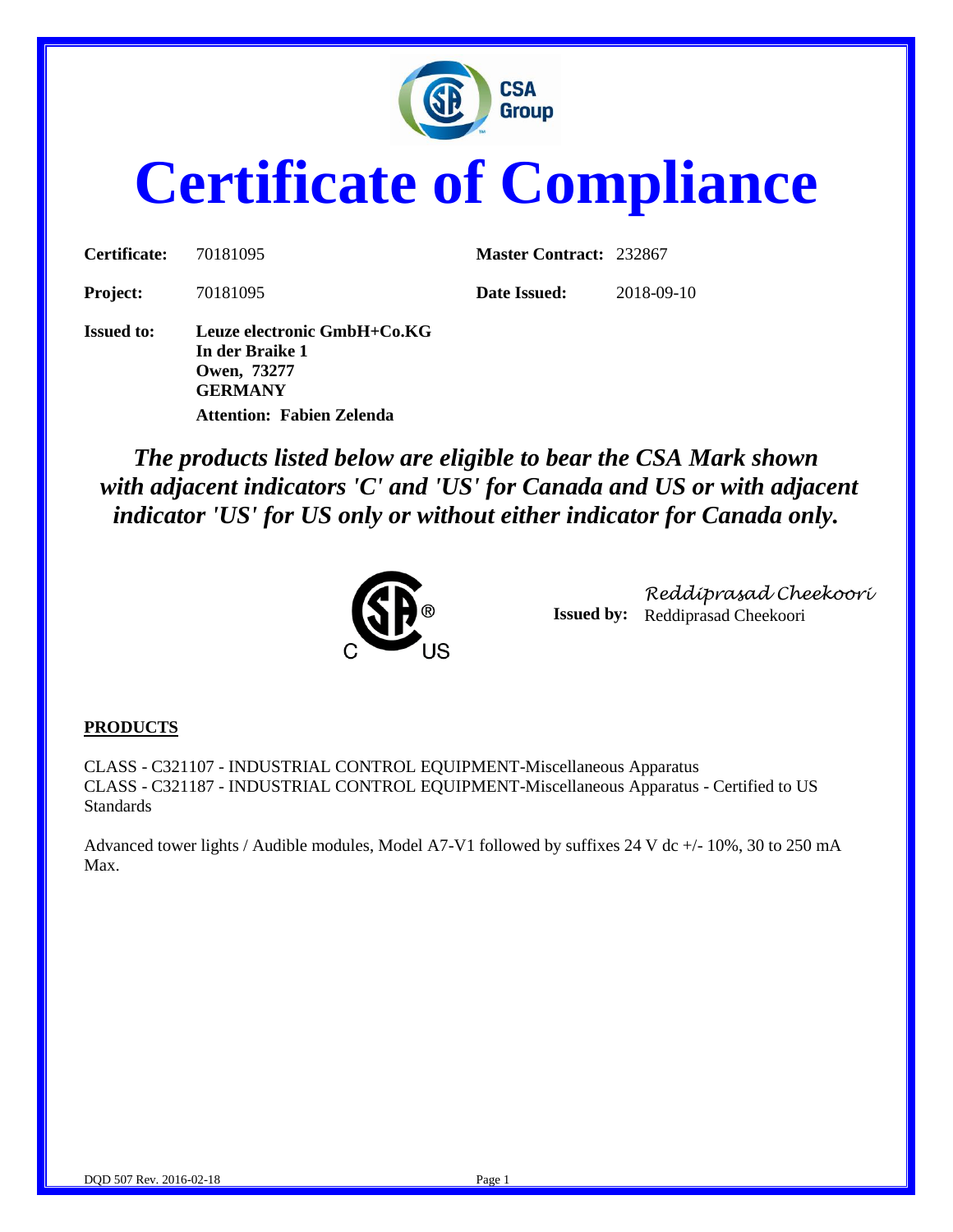

# **Certificate of Compliance**

| Certificate:      | 70181095                                                                        | <b>Master Contract: 232867</b> |            |
|-------------------|---------------------------------------------------------------------------------|--------------------------------|------------|
| <b>Project:</b>   | 70181095                                                                        | Date Issued:                   | 2018-09-10 |
| <b>Issued to:</b> | Leuze electronic GmbH+Co.KG<br>In der Braike 1<br>Owen, 73277<br><b>GERMANY</b> |                                |            |
|                   | <b>Attention: Fabien Zelenda</b>                                                |                                |            |

*The products listed below are eligible to bear the CSA Mark shown with adjacent indicators 'C' and 'US' for Canada and US or with adjacent indicator 'US' for US only or without either indicator for Canada only.*



**Issued by:** Reddiprasad Cheekoori *Reddiprasad Cheekoori*

#### **PRODUCTS**

CLASS - C321107 - INDUSTRIAL CONTROL EQUIPMENT-Miscellaneous Apparatus CLASS - C321187 - INDUSTRIAL CONTROL EQUIPMENT-Miscellaneous Apparatus - Certified to US **Standards** 

Advanced tower lights / Audible modules, Model A7-V1 followed by suffixes 24 V dc +/- 10%, 30 to 250 mA Max.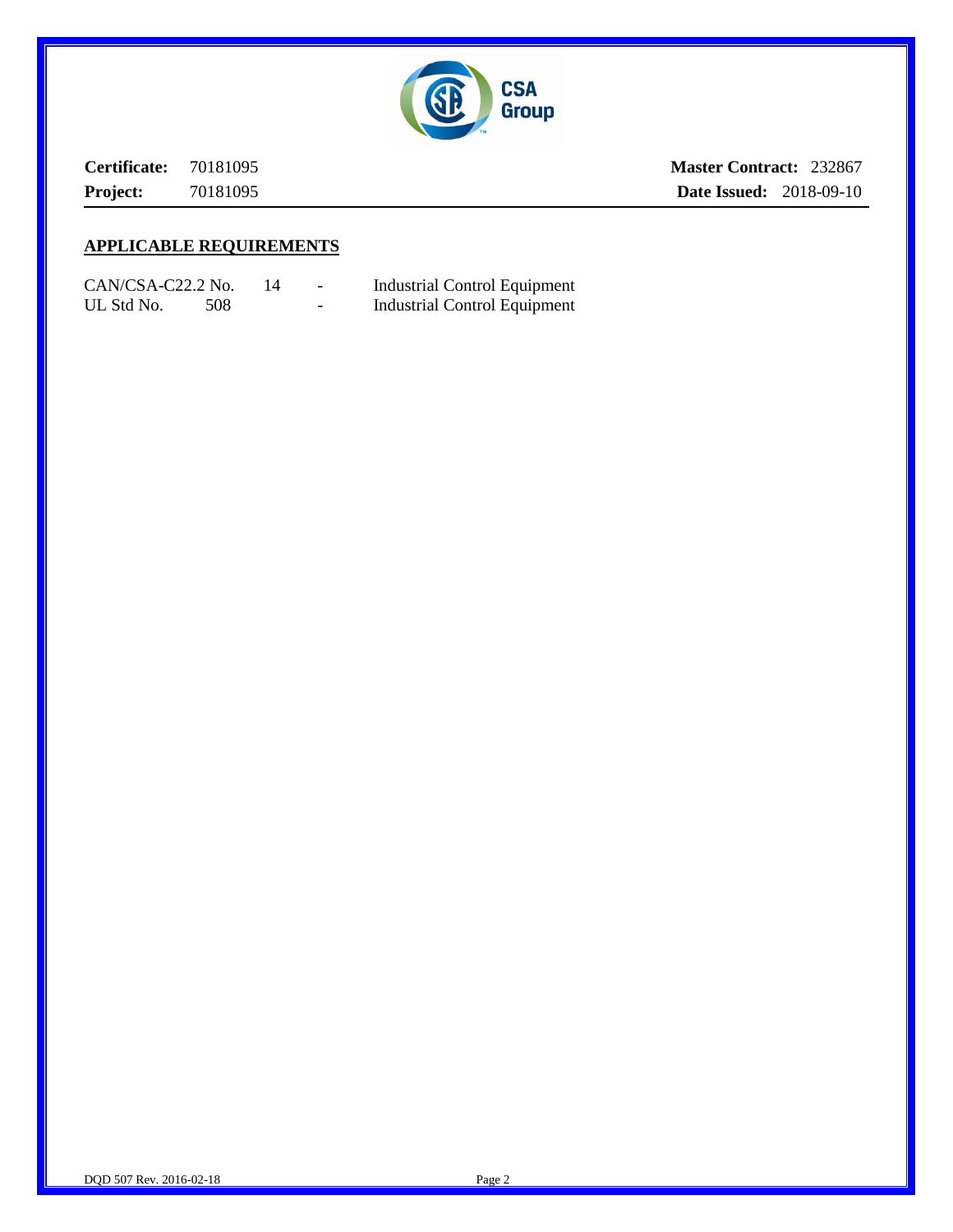

**Certificate:** 70181095 **Project:** 70181095 **Master Contract:** 232867 **Date Issued:** 2018-09-10

#### **APPLICABLE REQUIREMENTS**

| CAN/CSA-C22.2 No. |     | $\overline{\phantom{0}}$ | <b>Industrial Control Equipment</b> |
|-------------------|-----|--------------------------|-------------------------------------|
| UL Std No.        | 508 | -                        | <b>Industrial Control Equipment</b> |